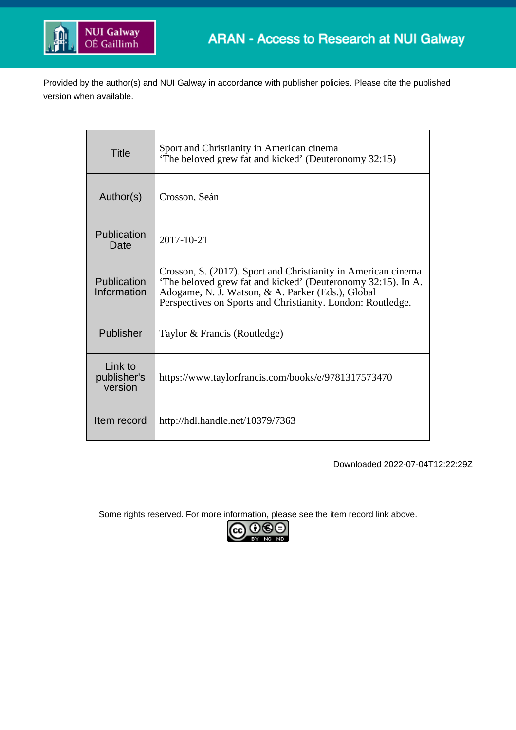

Provided by the author(s) and NUI Galway in accordance with publisher policies. Please cite the published version when available.

| <b>Title</b>                      | Sport and Christianity in American cinema<br>The beloved grew fat and kicked' (Deuteronomy 32:15)                                                                                                                                                 |
|-----------------------------------|---------------------------------------------------------------------------------------------------------------------------------------------------------------------------------------------------------------------------------------------------|
| Author(s)                         | Crosson, Seán                                                                                                                                                                                                                                     |
| Publication<br>Date               | $2017 - 10 - 21$                                                                                                                                                                                                                                  |
| Publication<br>Information        | Crosson, S. (2017). Sport and Christianity in American cinema<br>'The beloved grew fat and kicked' (Deuteronomy 32:15). In A.<br>Adogame, N. J. Watson, & A. Parker (Eds.), Global<br>Perspectives on Sports and Christianity. London: Routledge. |
| Publisher                         | Taylor & Francis (Routledge)                                                                                                                                                                                                                      |
| Link to<br>publisher's<br>version | https://www.taylorfrancis.com/books/e/9781317573470                                                                                                                                                                                               |
| Item record                       | http://hdl.handle.net/10379/7363                                                                                                                                                                                                                  |

Downloaded 2022-07-04T12:22:29Z

Some rights reserved. For more information, please see the item record link above.

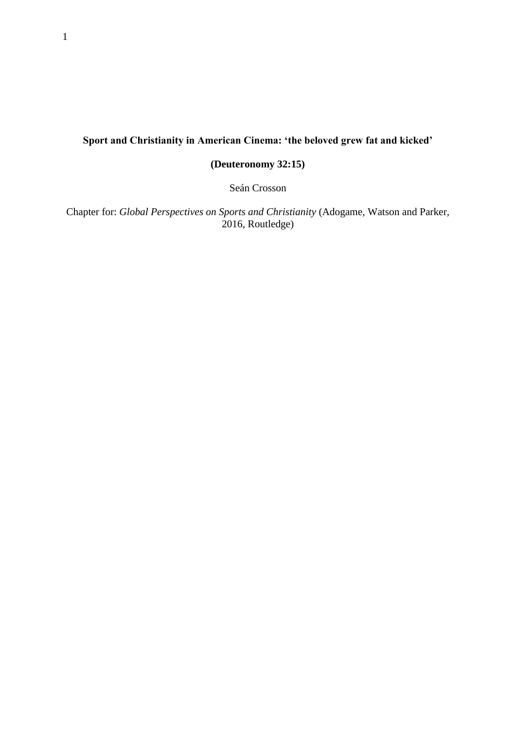# **Sport and Christianity in American Cinema: 'the beloved grew fat and kicked'**

## **(Deuteronomy 32:15)**

Seán Crosson

Chapter for: *Global Perspectives on Sports and Christianity* (Adogame, Watson and Parker, 2016, Routledge)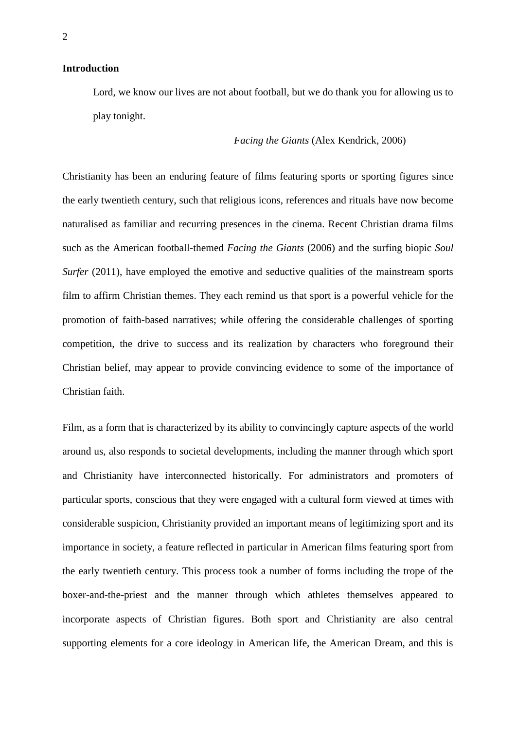#### **Introduction**

Lord, we know our lives are not about football, but we do thank you for allowing us to play tonight.

## *Facing the Giants* (Alex Kendrick, 2006)

Christianity has been an enduring feature of films featuring sports or sporting figures since the early twentieth century, such that religious icons, references and rituals have now become naturalised as familiar and recurring presences in the cinema. Recent Christian drama films such as the American football-themed *Facing the Giants* (2006) and the surfing biopic *Soul Surfer* (2011), have employed the emotive and seductive qualities of the mainstream sports film to affirm Christian themes. They each remind us that sport is a powerful vehicle for the promotion of faith-based narratives; while offering the considerable challenges of sporting competition, the drive to success and its realization by characters who foreground their Christian belief, may appear to provide convincing evidence to some of the importance of Christian faith.

Film, as a form that is characterized by its ability to convincingly capture aspects of the world around us, also responds to societal developments, including the manner through which sport and Christianity have interconnected historically. For administrators and promoters of particular sports, conscious that they were engaged with a cultural form viewed at times with considerable suspicion, Christianity provided an important means of legitimizing sport and its importance in society, a feature reflected in particular in American films featuring sport from the early twentieth century. This process took a number of forms including the trope of the boxer-and-the-priest and the manner through which athletes themselves appeared to incorporate aspects of Christian figures. Both sport and Christianity are also central supporting elements for a core ideology in American life, the American Dream, and this is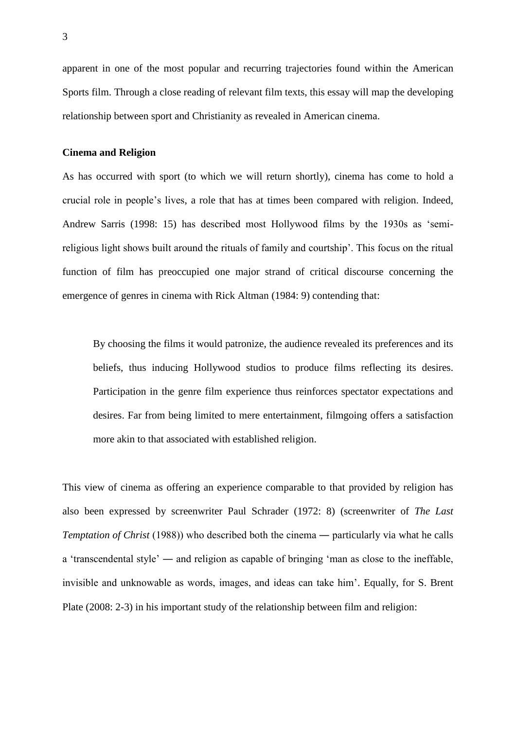apparent in one of the most popular and recurring trajectories found within the American Sports film. Through a close reading of relevant film texts, this essay will map the developing relationship between sport and Christianity as revealed in American cinema.

#### **Cinema and Religion**

As has occurred with sport (to which we will return shortly), cinema has come to hold a crucial role in people's lives, a role that has at times been compared with religion. Indeed, Andrew Sarris (1998: 15) has described most Hollywood films by the 1930s as 'semireligious light shows built around the rituals of family and courtship'. This focus on the ritual function of film has preoccupied one major strand of critical discourse concerning the emergence of genres in cinema with Rick Altman (1984: 9) contending that:

By choosing the films it would patronize, the audience revealed its preferences and its beliefs, thus inducing Hollywood studios to produce films reflecting its desires. Participation in the genre film experience thus reinforces spectator expectations and desires. Far from being limited to mere entertainment, filmgoing offers a satisfaction more akin to that associated with established religion.

This view of cinema as offering an experience comparable to that provided by religion has also been expressed by screenwriter Paul Schrader (1972: 8) (screenwriter of *The Last Temptation of Christ* (1988)) who described both the cinema — particularly via what he calls a 'transcendental style' ― and religion as capable of bringing 'man as close to the ineffable, invisible and unknowable as words, images, and ideas can take him'. Equally, for S. Brent Plate (2008: 2-3) in his important study of the relationship between film and religion: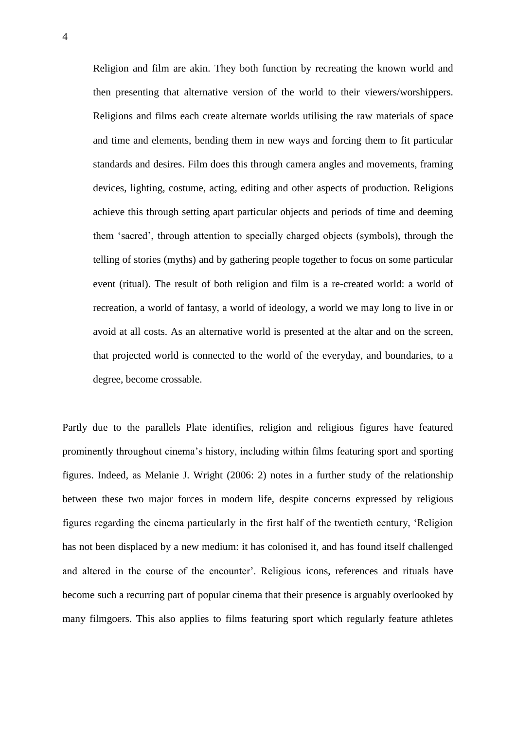Religion and film are akin. They both function by recreating the known world and then presenting that alternative version of the world to their viewers/worshippers. Religions and films each create alternate worlds utilising the raw materials of space and time and elements, bending them in new ways and forcing them to fit particular standards and desires. Film does this through camera angles and movements, framing devices, lighting, costume, acting, editing and other aspects of production. Religions achieve this through setting apart particular objects and periods of time and deeming them 'sacred', through attention to specially charged objects (symbols), through the telling of stories (myths) and by gathering people together to focus on some particular event (ritual). The result of both religion and film is a re-created world: a world of recreation, a world of fantasy, a world of ideology, a world we may long to live in or avoid at all costs. As an alternative world is presented at the altar and on the screen, that projected world is connected to the world of the everyday, and boundaries, to a degree, become crossable.

Partly due to the parallels Plate identifies, religion and religious figures have featured prominently throughout cinema's history, including within films featuring sport and sporting figures. Indeed, as Melanie J. Wright (2006: 2) notes in a further study of the relationship between these two major forces in modern life, despite concerns expressed by religious figures regarding the cinema particularly in the first half of the twentieth century, 'Religion has not been displaced by a new medium: it has colonised it, and has found itself challenged and altered in the course of the encounter'. Religious icons, references and rituals have become such a recurring part of popular cinema that their presence is arguably overlooked by many filmgoers. This also applies to films featuring sport which regularly feature athletes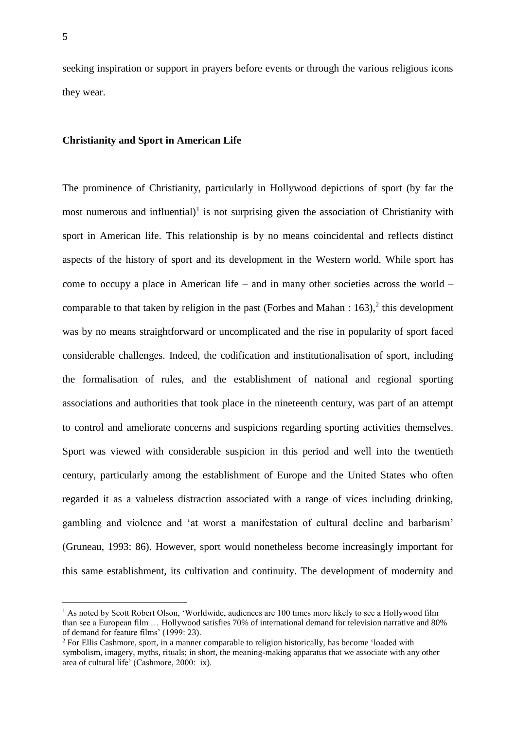seeking inspiration or support in prayers before events or through the various religious icons they wear.

#### **Christianity and Sport in American Life**

The prominence of Christianity, particularly in Hollywood depictions of sport (by far the most numerous and influential)<sup>1</sup> is not surprising given the association of Christianity with sport in American life. This relationship is by no means coincidental and reflects distinct aspects of the history of sport and its development in the Western world. While sport has come to occupy a place in American life – and in many other societies across the world – comparable to that taken by religion in the past (Forbes and Mahan:  $163$ ),<sup>2</sup> this development was by no means straightforward or uncomplicated and the rise in popularity of sport faced considerable challenges. Indeed, the codification and institutionalisation of sport, including the formalisation of rules, and the establishment of national and regional sporting associations and authorities that took place in the nineteenth century, was part of an attempt to control and ameliorate concerns and suspicions regarding sporting activities themselves. Sport was viewed with considerable suspicion in this period and well into the twentieth century, particularly among the establishment of Europe and the United States who often regarded it as a valueless distraction associated with a range of vices including drinking, gambling and violence and 'at worst a manifestation of cultural decline and barbarism' (Gruneau, 1993: 86). However, sport would nonetheless become increasingly important for this same establishment, its cultivation and continuity. The development of modernity and

1

 $1$  As noted by Scott Robert Olson, 'Worldwide, audiences are 100 times more likely to see a Hollywood film than see a European film … Hollywood satisfies 70% of international demand for television narrative and 80% of demand for feature films' (1999: 23).

<sup>2</sup> For Ellis Cashmore, sport, in a manner comparable to religion historically, has become 'loaded with symbolism, imagery, myths, rituals; in short, the meaning-making apparatus that we associate with any other area of cultural life' (Cashmore, 2000: ix).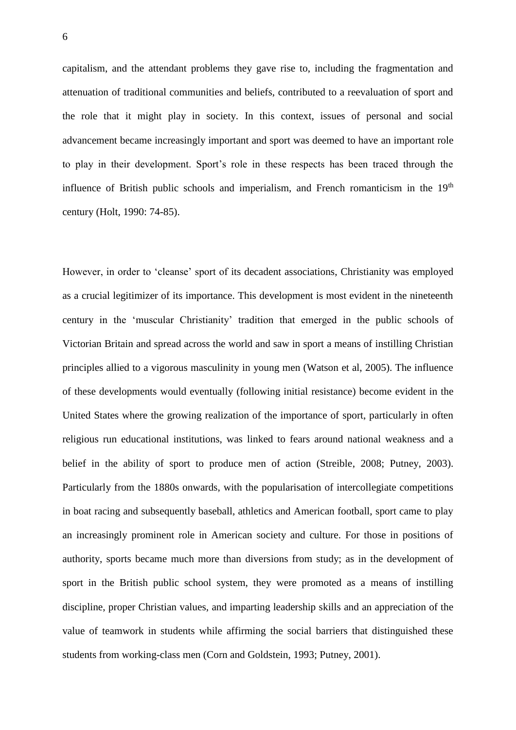capitalism, and the attendant problems they gave rise to, including the fragmentation and attenuation of traditional communities and beliefs, contributed to a reevaluation of sport and the role that it might play in society. In this context, issues of personal and social advancement became increasingly important and sport was deemed to have an important role to play in their development. Sport's role in these respects has been traced through the influence of British public schools and imperialism, and French romanticism in the  $19<sup>th</sup>$ century (Holt, 1990: 74-85).

However, in order to 'cleanse' sport of its decadent associations, Christianity was employed as a crucial legitimizer of its importance. This development is most evident in the nineteenth century in the 'muscular Christianity' tradition that emerged in the public schools of Victorian Britain and spread across the world and saw in sport a means of instilling Christian principles allied to a vigorous masculinity in young men (Watson et al, 2005). The influence of these developments would eventually (following initial resistance) become evident in the United States where the growing realization of the importance of sport, particularly in often religious run educational institutions, was linked to fears around national weakness and a belief in the ability of sport to produce men of action (Streible, 2008; Putney, 2003). Particularly from the 1880s onwards, with the popularisation of intercollegiate competitions in boat racing and subsequently baseball, athletics and American football, sport came to play an increasingly prominent role in American society and culture. For those in positions of authority, sports became much more than diversions from study; as in the development of sport in the British public school system, they were promoted as a means of instilling discipline, proper Christian values, and imparting leadership skills and an appreciation of the value of teamwork in students while affirming the social barriers that distinguished these students from working-class men (Corn and Goldstein, 1993; Putney, 2001).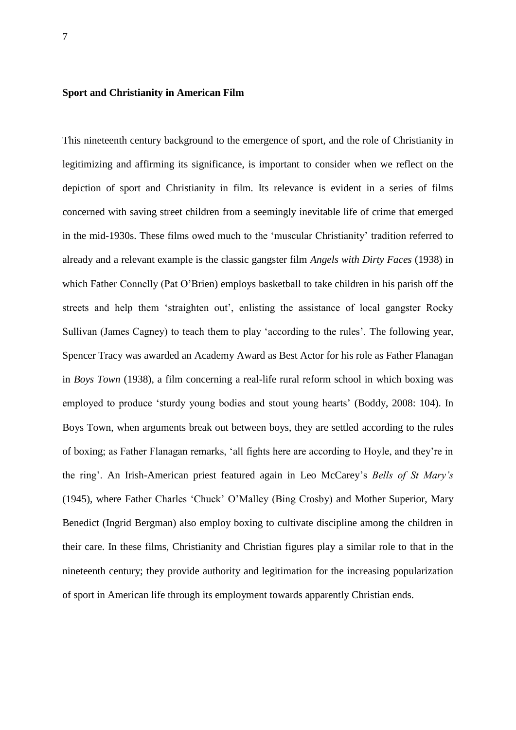#### **Sport and Christianity in American Film**

This nineteenth century background to the emergence of sport, and the role of Christianity in legitimizing and affirming its significance, is important to consider when we reflect on the depiction of sport and Christianity in film. Its relevance is evident in a series of films concerned with saving street children from a seemingly inevitable life of crime that emerged in the mid-1930s. These films owed much to the 'muscular Christianity' tradition referred to already and a relevant example is the classic gangster film *Angels with Dirty Faces* (1938) in which Father Connelly (Pat O'Brien) employs basketball to take children in his parish off the streets and help them 'straighten out', enlisting the assistance of local gangster Rocky Sullivan (James Cagney) to teach them to play 'according to the rules'. The following year, Spencer Tracy was awarded an Academy Award as Best Actor for his role as Father Flanagan in *Boys Town* (1938), a film concerning a real-life rural reform school in which boxing was employed to produce 'sturdy young bodies and stout young hearts' (Boddy, 2008: 104). In Boys Town, when arguments break out between boys, they are settled according to the rules of boxing; as Father Flanagan remarks, 'all fights here are according to Hoyle, and they're in the ring'. An Irish-American priest featured again in Leo McCarey's *Bells of St Mary's* (1945), where Father Charles 'Chuck' O'Malley (Bing Crosby) and Mother Superior, Mary Benedict (Ingrid Bergman) also employ boxing to cultivate discipline among the children in their care. In these films, Christianity and Christian figures play a similar role to that in the nineteenth century; they provide authority and legitimation for the increasing popularization of sport in American life through its employment towards apparently Christian ends.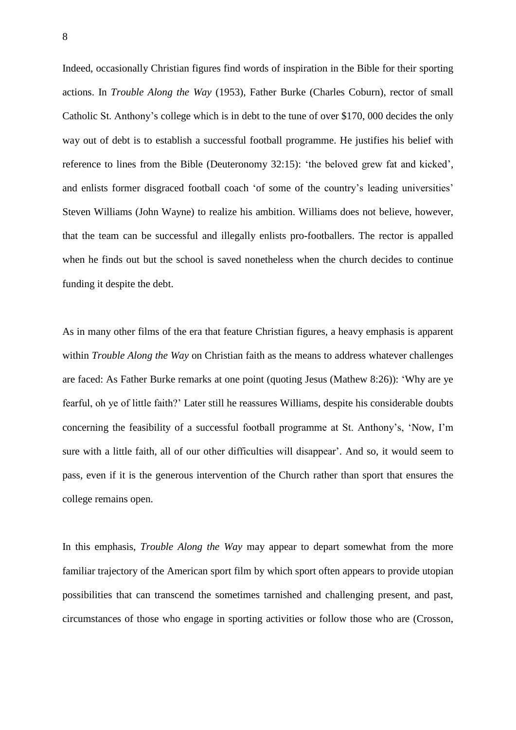Indeed, occasionally Christian figures find words of inspiration in the Bible for their sporting actions. In *Trouble Along the Way* (1953), Father Burke (Charles Coburn), rector of small Catholic St. Anthony's college which is in debt to the tune of over \$170, 000 decides the only way out of debt is to establish a successful football programme. He justifies his belief with reference to lines from the Bible (Deuteronomy 32:15): 'the beloved grew fat and kicked', and enlists former disgraced football coach 'of some of the country's leading universities' Steven Williams (John Wayne) to realize his ambition. Williams does not believe, however, that the team can be successful and illegally enlists pro-footballers. The rector is appalled when he finds out but the school is saved nonetheless when the church decides to continue funding it despite the debt.

As in many other films of the era that feature Christian figures, a heavy emphasis is apparent within *Trouble Along the Way* on Christian faith as the means to address whatever challenges are faced: As Father Burke remarks at one point (quoting Jesus (Mathew 8:26)): 'Why are ye fearful, oh ye of little faith?' Later still he reassures Williams, despite his considerable doubts concerning the feasibility of a successful football programme at St. Anthony's, 'Now, I'm sure with a little faith, all of our other difficulties will disappear'. And so, it would seem to pass, even if it is the generous intervention of the Church rather than sport that ensures the college remains open.

In this emphasis, *Trouble Along the Way* may appear to depart somewhat from the more familiar trajectory of the American sport film by which sport often appears to provide utopian possibilities that can transcend the sometimes tarnished and challenging present, and past, circumstances of those who engage in sporting activities or follow those who are (Crosson,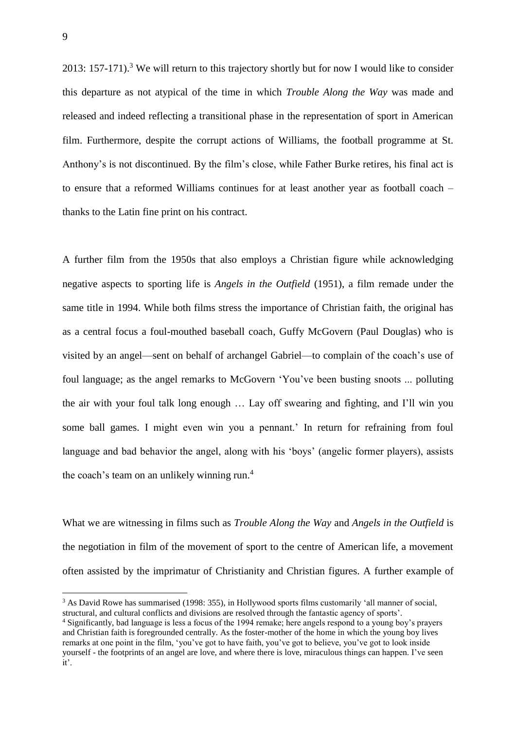2013: 157-171).<sup>3</sup> We will return to this trajectory shortly but for now I would like to consider this departure as not atypical of the time in which *Trouble Along the Way* was made and released and indeed reflecting a transitional phase in the representation of sport in American film. Furthermore, despite the corrupt actions of Williams, the football programme at St. Anthony's is not discontinued. By the film's close, while Father Burke retires, his final act is to ensure that a reformed Williams continues for at least another year as football coach – thanks to the Latin fine print on his contract.

A further film from the 1950s that also employs a Christian figure while acknowledging negative aspects to sporting life is *Angels in the Outfield* (1951), a film remade under the same title in 1994. While both films stress the importance of Christian faith, the original has as a central focus a foul-mouthed baseball coach, Guffy McGovern (Paul Douglas) who is visited by an angel—sent on behalf of archangel Gabriel—to complain of the coach's use of foul language; as the angel remarks to McGovern 'You've been busting snoots ... polluting the air with your foul talk long enough … Lay off swearing and fighting, and I'll win you some ball games. I might even win you a pennant.' In return for refraining from foul language and bad behavior the angel, along with his 'boys' (angelic former players), assists the coach's team on an unlikely winning run.<sup>4</sup>

What we are witnessing in films such as *Trouble Along the Way* and *Angels in the Outfield* is the negotiation in film of the movement of sport to the centre of American life, a movement often assisted by the imprimatur of Christianity and Christian figures. A further example of

<u>.</u>

<sup>&</sup>lt;sup>3</sup> As David Rowe has summarised (1998: 355), in Hollywood sports films customarily 'all manner of social, structural, and cultural conflicts and divisions are resolved through the fantastic agency of sports'.

<sup>4</sup> Significantly, bad language is less a focus of the 1994 remake; here angels respond to a young boy's prayers and Christian faith is foregrounded centrally. As the foster-mother of the home in which the young boy lives remarks at one point in the film, 'you've got to have faith, you've got to believe, you've got to look inside yourself - the footprints of an angel are love, and where there is love, miraculous things can happen. I've seen it'.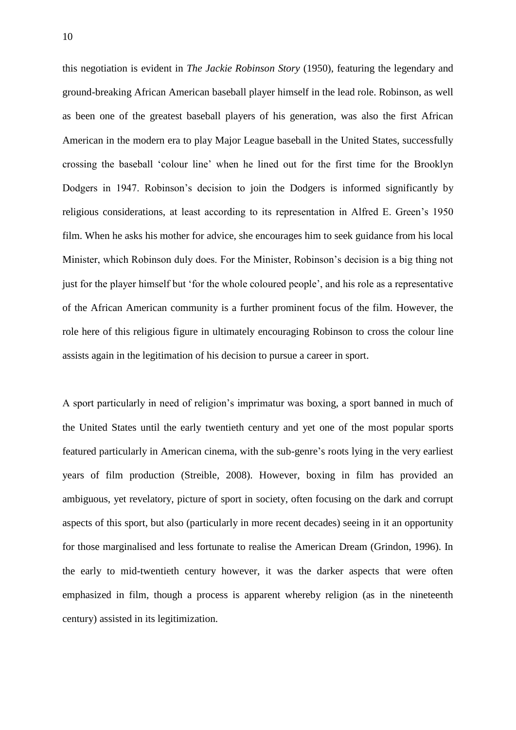this negotiation is evident in *The Jackie Robinson Story* (1950), featuring the legendary and ground-breaking African American baseball player himself in the lead role. Robinson, as well as been one of the greatest baseball players of his generation, was also the first African American in the modern era to play Major League baseball in the United States, successfully crossing the baseball 'colour line' when he lined out for the first time for the Brooklyn Dodgers in 1947. Robinson's decision to join the Dodgers is informed significantly by religious considerations, at least according to its representation in Alfred E. Green's 1950 film. When he asks his mother for advice, she encourages him to seek guidance from his local Minister, which Robinson duly does. For the Minister, Robinson's decision is a big thing not just for the player himself but 'for the whole coloured people', and his role as a representative of the African American community is a further prominent focus of the film. However, the role here of this religious figure in ultimately encouraging Robinson to cross the colour line assists again in the legitimation of his decision to pursue a career in sport.

A sport particularly in need of religion's imprimatur was boxing, a sport banned in much of the United States until the early twentieth century and yet one of the most popular sports featured particularly in American cinema, with the sub-genre's roots lying in the very earliest years of film production (Streible, 2008). However, boxing in film has provided an ambiguous, yet revelatory, picture of sport in society, often focusing on the dark and corrupt aspects of this sport, but also (particularly in more recent decades) seeing in it an opportunity for those marginalised and less fortunate to realise the American Dream (Grindon, 1996). In the early to mid-twentieth century however, it was the darker aspects that were often emphasized in film, though a process is apparent whereby religion (as in the nineteenth century) assisted in its legitimization.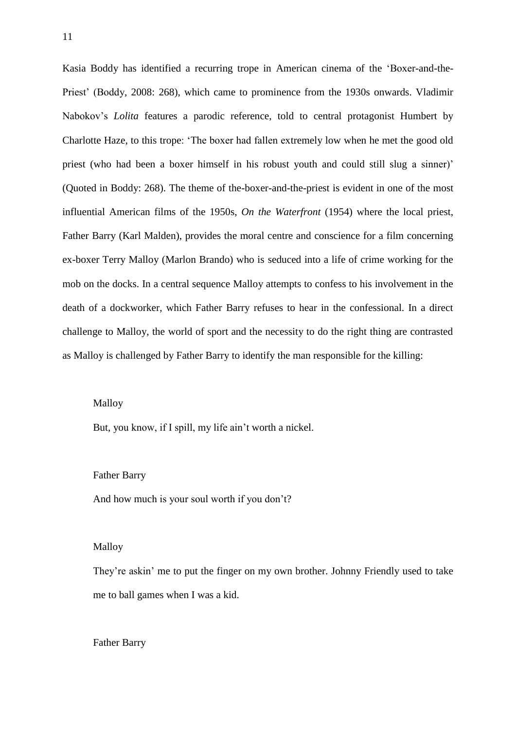Kasia Boddy has identified a recurring trope in American cinema of the 'Boxer-and-the-Priest' (Boddy, 2008: 268), which came to prominence from the 1930s onwards. Vladimir Nabokov's *Lolita* features a parodic reference, told to central protagonist Humbert by Charlotte Haze, to this trope: 'The boxer had fallen extremely low when he met the good old priest (who had been a boxer himself in his robust youth and could still slug a sinner)' (Quoted in Boddy: 268). The theme of the-boxer-and-the-priest is evident in one of the most influential American films of the 1950s, *On the Waterfront* (1954) where the local priest, Father Barry (Karl Malden), provides the moral centre and conscience for a film concerning ex-boxer Terry Malloy (Marlon Brando) who is seduced into a life of crime working for the mob on the docks. In a central sequence Malloy attempts to confess to his involvement in the death of a dockworker, which Father Barry refuses to hear in the confessional. In a direct challenge to Malloy, the world of sport and the necessity to do the right thing are contrasted as Malloy is challenged by Father Barry to identify the man responsible for the killing:

#### Malloy

But, you know, if I spill, my life ain't worth a nickel.

#### Father Barry

And how much is your soul worth if you don't?

#### Malloy

They're askin' me to put the finger on my own brother. Johnny Friendly used to take me to ball games when I was a kid.

#### Father Barry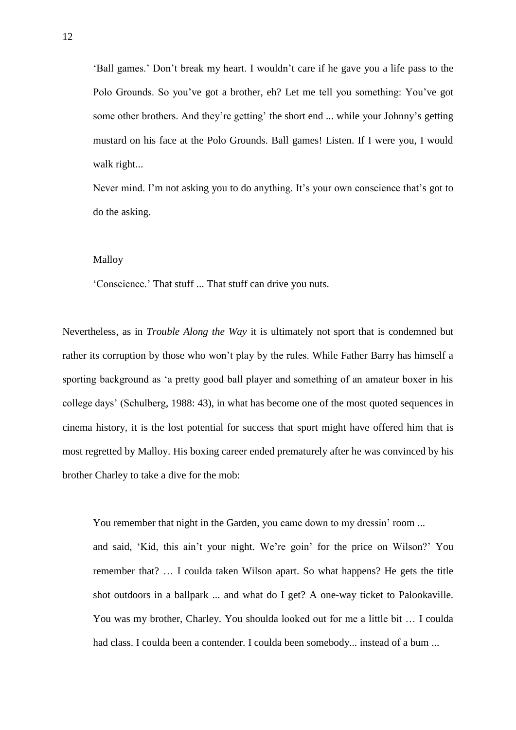'Ball games.' Don't break my heart. I wouldn't care if he gave you a life pass to the Polo Grounds. So you've got a brother, eh? Let me tell you something: You've got some other brothers. And they're getting' the short end ... while your Johnny's getting mustard on his face at the Polo Grounds. Ball games! Listen. If I were you, I would walk right...

Never mind. I'm not asking you to do anything. It's your own conscience that's got to do the asking.

#### Malloy

'Conscience.' That stuff ... That stuff can drive you nuts.

Nevertheless, as in *Trouble Along the Way* it is ultimately not sport that is condemned but rather its corruption by those who won't play by the rules. While Father Barry has himself a sporting background as 'a pretty good ball player and something of an amateur boxer in his college days' (Schulberg, 1988: 43), in what has become one of the most quoted sequences in cinema history, it is the lost potential for success that sport might have offered him that is most regretted by Malloy. His boxing career ended prematurely after he was convinced by his brother Charley to take a dive for the mob:

You remember that night in the Garden, you came down to my dressin' room ...

and said, 'Kid, this ain't your night. We're goin' for the price on Wilson?' You remember that? … I coulda taken Wilson apart. So what happens? He gets the title shot outdoors in a ballpark ... and what do I get? A one-way ticket to Palookaville. You was my brother, Charley. You shoulda looked out for me a little bit … I coulda had class. I coulda been a contender. I coulda been somebody... instead of a bum ...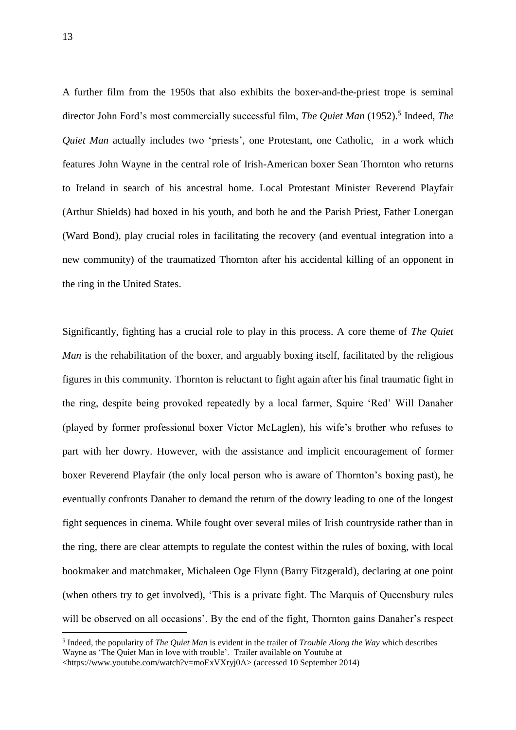A further film from the 1950s that also exhibits the boxer-and-the-priest trope is seminal director John Ford's most commercially successful film, *The Quiet Man* (1952).<sup>5</sup> Indeed, *The Quiet Man* actually includes two 'priests', one Protestant, one Catholic, in a work which features John Wayne in the central role of Irish-American boxer Sean Thornton who returns to Ireland in search of his ancestral home. Local Protestant Minister Reverend Playfair (Arthur Shields) had boxed in his youth, and both he and the Parish Priest, Father Lonergan (Ward Bond), play crucial roles in facilitating the recovery (and eventual integration into a new community) of the traumatized Thornton after his accidental killing of an opponent in the ring in the United States.

Significantly, fighting has a crucial role to play in this process. A core theme of *The Quiet Man* is the rehabilitation of the boxer, and arguably boxing itself, facilitated by the religious figures in this community. Thornton is reluctant to fight again after his final traumatic fight in the ring, despite being provoked repeatedly by a local farmer, Squire 'Red' Will Danaher (played by former professional boxer Victor McLaglen), his wife's brother who refuses to part with her dowry. However, with the assistance and implicit encouragement of former boxer Reverend Playfair (the only local person who is aware of Thornton's boxing past), he eventually confronts Danaher to demand the return of the dowry leading to one of the longest fight sequences in cinema. While fought over several miles of Irish countryside rather than in the ring, there are clear attempts to regulate the contest within the rules of boxing, with local bookmaker and matchmaker, Michaleen Oge Flynn (Barry Fitzgerald), declaring at one point (when others try to get involved), 'This is a private fight. The Marquis of Queensbury rules will be observed on all occasions'. By the end of the fight, Thornton gains Danaher's respect

1

<sup>5</sup> Indeed, the popularity of *The Quiet Man* is evident in the trailer of *Trouble Along the Way* which describes Wayne as 'The Quiet Man in love with trouble'. Trailer available on Youtube at

<sup>&</sup>lt;https://www.youtube.com/watch?v=moExVXryj0A> (accessed 10 September 2014)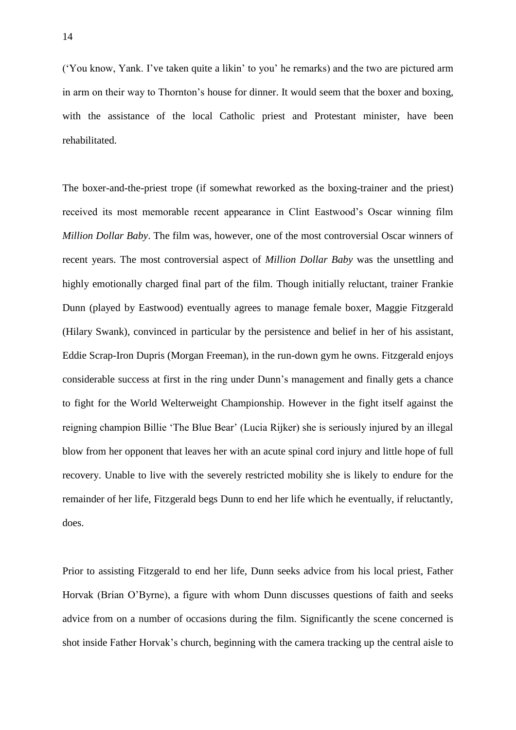('You know, Yank. I've taken quite a likin' to you' he remarks) and the two are pictured arm in arm on their way to Thornton's house for dinner. It would seem that the boxer and boxing, with the assistance of the local Catholic priest and Protestant minister, have been rehabilitated.

The boxer-and-the-priest trope (if somewhat reworked as the boxing-trainer and the priest) received its most memorable recent appearance in Clint Eastwood's Oscar winning film *Million Dollar Baby*. The film was, however, one of the most controversial Oscar winners of recent years. The most controversial aspect of *Million Dollar Baby* was the unsettling and highly emotionally charged final part of the film. Though initially reluctant, trainer Frankie Dunn (played by Eastwood) eventually agrees to manage female boxer, Maggie Fitzgerald (Hilary Swank), convinced in particular by the persistence and belief in her of his assistant, Eddie Scrap-Iron Dupris (Morgan Freeman), in the run-down gym he owns. Fitzgerald enjoys considerable success at first in the ring under Dunn's management and finally gets a chance to fight for the World Welterweight Championship. However in the fight itself against the reigning champion Billie 'The Blue Bear' (Lucia Rijker) she is seriously injured by an illegal blow from her opponent that leaves her with an acute spinal cord injury and little hope of full recovery. Unable to live with the severely restricted mobility she is likely to endure for the remainder of her life, Fitzgerald begs Dunn to end her life which he eventually, if reluctantly, does.

Prior to assisting Fitzgerald to end her life, Dunn seeks advice from his local priest, Father Horvak (Brían O'Byrne), a figure with whom Dunn discusses questions of faith and seeks advice from on a number of occasions during the film. Significantly the scene concerned is shot inside Father Horvak's church, beginning with the camera tracking up the central aisle to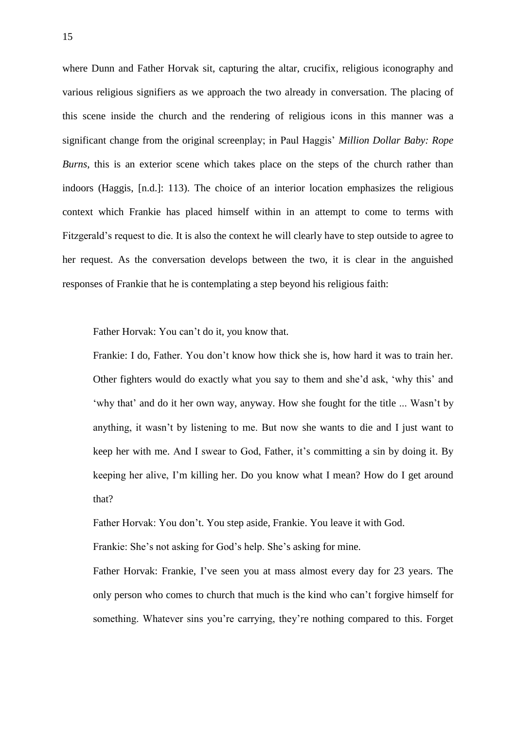where Dunn and Father Horvak sit, capturing the altar, crucifix, religious iconography and various religious signifiers as we approach the two already in conversation. The placing of this scene inside the church and the rendering of religious icons in this manner was a significant change from the original screenplay; in Paul Haggis' *Million Dollar Baby: Rope Burns*, this is an exterior scene which takes place on the steps of the church rather than indoors (Haggis, [n.d.]: 113). The choice of an interior location emphasizes the religious context which Frankie has placed himself within in an attempt to come to terms with Fitzgerald's request to die. It is also the context he will clearly have to step outside to agree to her request. As the conversation develops between the two, it is clear in the anguished responses of Frankie that he is contemplating a step beyond his religious faith:

Father Horvak: You can't do it, you know that.

Frankie: I do, Father. You don't know how thick she is, how hard it was to train her. Other fighters would do exactly what you say to them and she'd ask, 'why this' and 'why that' and do it her own way, anyway. How she fought for the title ... Wasn't by anything, it wasn't by listening to me. But now she wants to die and I just want to keep her with me. And I swear to God, Father, it's committing a sin by doing it. By keeping her alive, I'm killing her. Do you know what I mean? How do I get around that?

Father Horvak: You don't. You step aside, Frankie. You leave it with God.

Frankie: She's not asking for God's help. She's asking for mine.

Father Horvak: Frankie, I've seen you at mass almost every day for 23 years. The only person who comes to church that much is the kind who can't forgive himself for something. Whatever sins you're carrying, they're nothing compared to this. Forget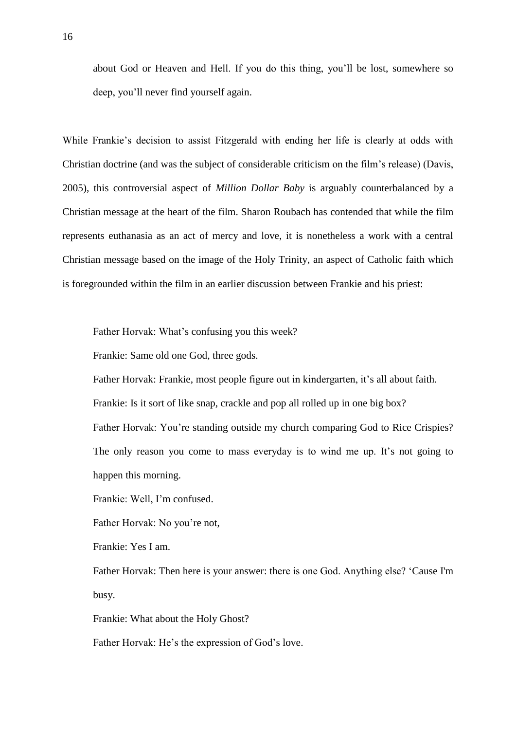about God or Heaven and Hell. If you do this thing, you'll be lost, somewhere so deep, you'll never find yourself again.

While Frankie's decision to assist Fitzgerald with ending her life is clearly at odds with Christian doctrine (and was the subject of considerable criticism on the film's release) (Davis, 2005), this controversial aspect of *Million Dollar Baby* is arguably counterbalanced by a Christian message at the heart of the film. Sharon Roubach has contended that while the film represents euthanasia as an act of mercy and love, it is nonetheless a work with a central Christian message based on the image of the Holy Trinity, an aspect of Catholic faith which is foregrounded within the film in an earlier discussion between Frankie and his priest:

Father Horvak: What's confusing you this week?

Frankie: Same old one God, three gods.

Father Horvak: Frankie, most people figure out in kindergarten, it's all about faith.

Frankie: Is it sort of like snap, crackle and pop all rolled up in one big box?

Father Horvak: You're standing outside my church comparing God to Rice Crispies? The only reason you come to mass everyday is to wind me up. It's not going to happen this morning.

Frankie: Well, I'm confused.

Father Horvak: No you're not,

Frankie: Yes I am.

Father Horvak: Then here is your answer: there is one God. Anything else? 'Cause I'm busy.

Frankie: What about the Holy Ghost?

Father Horvak: He's the expression of God's love.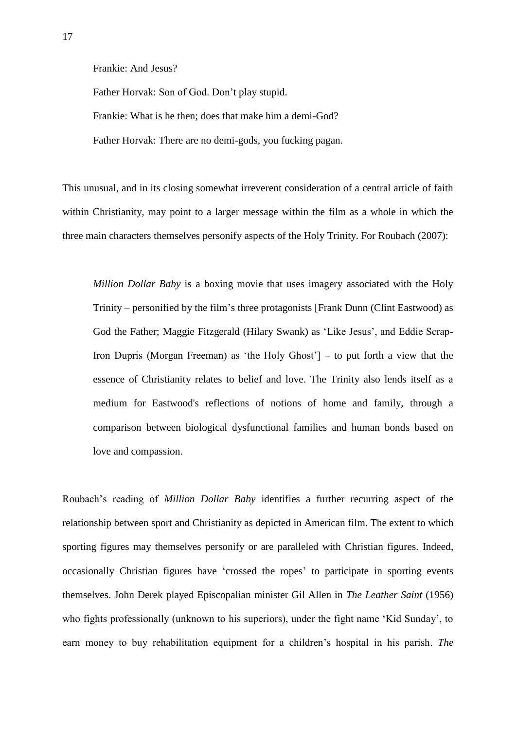Frankie: And Jesus?

Father Horvak: Son of God. Don't play stupid. Frankie: What is he then; does that make him a demi-God?

Father Horvak: There are no demi-gods, you fucking pagan.

This unusual, and in its closing somewhat irreverent consideration of a central article of faith within Christianity, may point to a larger message within the film as a whole in which the three main characters themselves personify aspects of the Holy Trinity. For Roubach (2007):

*Million Dollar Baby* is a boxing movie that uses imagery associated with the Holy Trinity – personified by the film's three protagonists [Frank Dunn (Clint Eastwood) as God the Father; Maggie Fitzgerald (Hilary Swank) as 'Like Jesus', and Eddie Scrap-Iron Dupris (Morgan Freeman) as 'the Holy Ghost'] – to put forth a view that the essence of Christianity relates to belief and love. The Trinity also lends itself as a medium for Eastwood's reflections of notions of home and family, through a comparison between biological dysfunctional families and human bonds based on love and compassion.

Roubach's reading of *Million Dollar Baby* identifies a further recurring aspect of the relationship between sport and Christianity as depicted in American film. The extent to which sporting figures may themselves personify or are paralleled with Christian figures. Indeed, occasionally Christian figures have 'crossed the ropes' to participate in sporting events themselves. John Derek played Episcopalian minister Gil Allen in *The Leather Saint* (1956) who fights professionally (unknown to his superiors), under the fight name 'Kid Sunday', to earn money to buy rehabilitation equipment for a children's hospital in his parish. *The*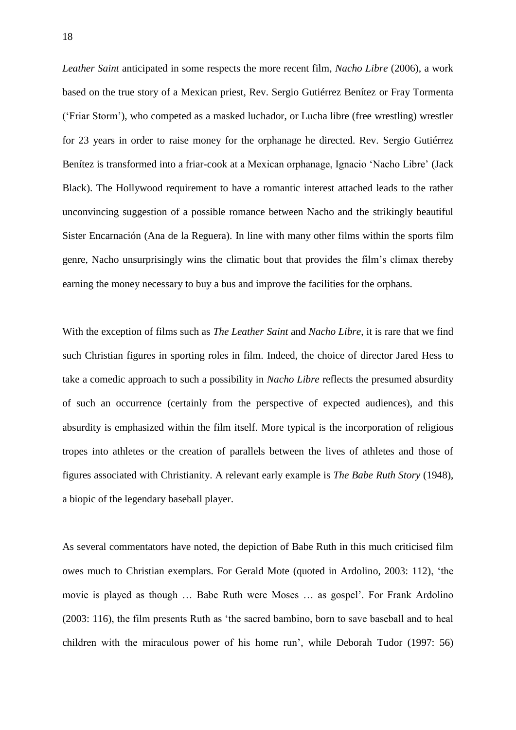*Leather Saint* anticipated in some respects the more recent film, *Nacho Libre* (2006), a work based on the true story of a Mexican priest, Rev. [Sergio Gutiérrez Benítez](file:///C:/wiki/Sergio_Guti%25C3%25A9rrez_Ben%25C3%25ADtez) or [Fray Tormenta](file:///C:/wiki/Fray_Tormenta) ('Friar Storm'), who competed as a masked luchador, or Lucha libre (free wrestling) wrestler for 23 years in order to raise money for the orphanage he directed. Rev. [Sergio Gutiérrez](file:///C:/wiki/Sergio_Guti%25C3%25A9rrez_Ben%25C3%25ADtez)  [Benítez](file:///C:/wiki/Sergio_Guti%25C3%25A9rrez_Ben%25C3%25ADtez) is transformed into a friar-cook at a Mexican orphanage, Ignacio 'Nacho Libre' (Jack Black). The Hollywood requirement to have a romantic interest attached leads to the rather unconvincing suggestion of a possible romance between Nacho and the strikingly beautiful Sister Encarnación (Ana de la Reguera). In line with many other films within the sports film genre, Nacho unsurprisingly wins the climatic bout that provides the film's climax thereby earning the money necessary to buy a bus and improve the facilities for the orphans.

With the exception of films such as *The Leather Saint* and *Nacho Libre*, it is rare that we find such Christian figures in sporting roles in film. Indeed, the choice of director Jared Hess to take a comedic approach to such a possibility in *Nacho Libre* reflects the presumed absurdity of such an occurrence (certainly from the perspective of expected audiences), and this absurdity is emphasized within the film itself. More typical is the incorporation of religious tropes into athletes or the creation of parallels between the lives of athletes and those of figures associated with Christianity. A relevant early example is *The Babe Ruth Story* (1948), a biopic of the legendary baseball player.

As several commentators have noted, the depiction of Babe Ruth in this much criticised film owes much to Christian exemplars. For Gerald Mote (quoted in Ardolino, 2003: 112), 'the movie is played as though … Babe Ruth were Moses … as gospel'. For Frank Ardolino (2003: 116), the film presents Ruth as 'the sacred bambino, born to save baseball and to heal children with the miraculous power of his home run', while Deborah Tudor (1997: 56)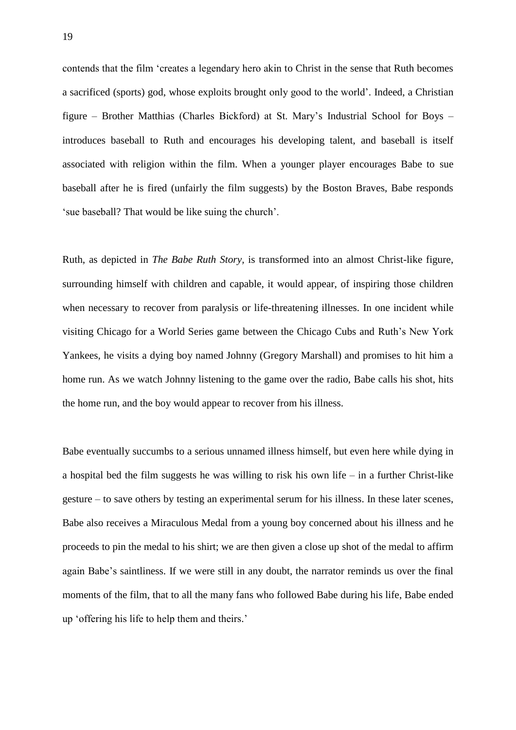contends that the film 'creates a legendary hero akin to Christ in the sense that Ruth becomes a sacrificed (sports) god, whose exploits brought only good to the world'. Indeed, a Christian figure – Brother Matthias (Charles Bickford) at St. Mary's Industrial School for Boys – introduces baseball to Ruth and encourages his developing talent, and baseball is itself associated with religion within the film. When a younger player encourages Babe to sue baseball after he is fired (unfairly the film suggests) by the Boston Braves, Babe responds 'sue baseball? That would be like suing the church'.

Ruth, as depicted in *The Babe Ruth Story,* is transformed into an almost Christ-like figure, surrounding himself with children and capable, it would appear, of inspiring those children when necessary to recover from paralysis or life-threatening illnesses. In one incident while visiting Chicago for a World Series game between the Chicago Cubs and Ruth's New York Yankees, he visits a dying boy named Johnny (Gregory Marshall) and promises to hit him a home run. As we watch Johnny listening to the game over the radio, Babe calls his shot, hits the home run, and the boy would appear to recover from his illness.

Babe eventually succumbs to a serious unnamed illness himself, but even here while dying in a hospital bed the film suggests he was willing to risk his own life – in a further Christ-like gesture – to save others by testing an experimental serum for his illness. In these later scenes, Babe also receives a Miraculous Medal from a young boy concerned about his illness and he proceeds to pin the medal to his shirt; we are then given a close up shot of the medal to affirm again Babe's saintliness. If we were still in any doubt, the narrator reminds us over the final moments of the film, that to all the many fans who followed Babe during his life, Babe ended up 'offering his life to help them and theirs.'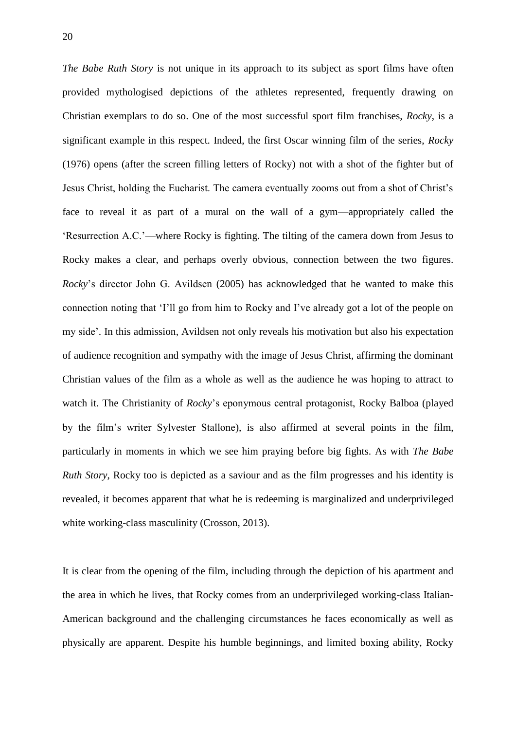*The Babe Ruth Story* is not unique in its approach to its subject as sport films have often provided mythologised depictions of the athletes represented, frequently drawing on Christian exemplars to do so. One of the most successful sport film franchises, *Rocky*, is a significant example in this respect. Indeed, the first Oscar winning film of the series, *Rocky* (1976) opens (after the screen filling letters of Rocky) not with a shot of the fighter but of Jesus Christ, holding the Eucharist. The camera eventually zooms out from a shot of Christ's face to reveal it as part of a mural on the wall of a gym—appropriately called the 'Resurrection A.C.'—where Rocky is fighting. The tilting of the camera down from Jesus to Rocky makes a clear, and perhaps overly obvious, connection between the two figures. *Rocky*'s director John G. Avildsen (2005) has acknowledged that he wanted to make this connection noting that 'I'll go from him to Rocky and I've already got a lot of the people on my side'. In this admission, Avildsen not only reveals his motivation but also his expectation of audience recognition and sympathy with the image of Jesus Christ, affirming the dominant Christian values of the film as a whole as well as the audience he was hoping to attract to watch it. The Christianity of *Rocky*'s eponymous central protagonist, Rocky Balboa (played by the film's writer Sylvester Stallone), is also affirmed at several points in the film, particularly in moments in which we see him praying before big fights. As with *The Babe Ruth Story*, Rocky too is depicted as a saviour and as the film progresses and his identity is revealed, it becomes apparent that what he is redeeming is marginalized and underprivileged white working-class masculinity (Crosson, 2013).

It is clear from the opening of the film, including through the depiction of his apartment and the area in which he lives, that Rocky comes from an underprivileged working-class Italian-American background and the challenging circumstances he faces economically as well as physically are apparent. Despite his humble beginnings, and limited boxing ability, Rocky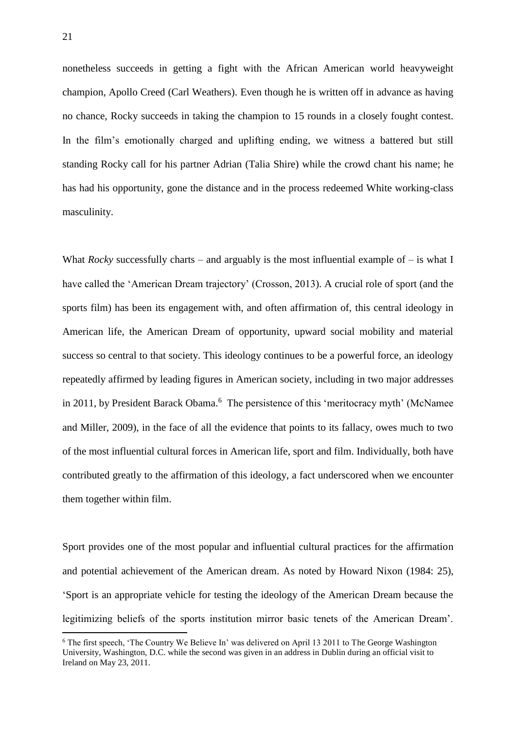nonetheless succeeds in getting a fight with the African American world heavyweight champion, Apollo Creed (Carl Weathers). Even though he is written off in advance as having no chance, Rocky succeeds in taking the champion to 15 rounds in a closely fought contest. In the film's emotionally charged and uplifting ending, we witness a battered but still standing Rocky call for his partner Adrian (Talia Shire) while the crowd chant his name; he has had his opportunity, gone the distance and in the process redeemed White working-class masculinity.

What *Rocky* successfully charts – and arguably is the most influential example of – is what I have called the 'American Dream trajectory' (Crosson, 2013). A crucial role of sport (and the sports film) has been its engagement with, and often affirmation of, this central ideology in American life, the American Dream of opportunity, upward social mobility and material success so central to that society. This ideology continues to be a powerful force, an ideology repeatedly affirmed by leading figures in American society, including in two major addresses in 2011, by President Barack Obama.<sup>6</sup> The persistence of this 'meritocracy myth' (McNamee and Miller, 2009), in the face of all the evidence that points to its fallacy, owes much to two of the most influential cultural forces in American life, sport and film. Individually, both have contributed greatly to the affirmation of this ideology, a fact underscored when we encounter them together within film.

Sport provides one of the most popular and influential cultural practices for the affirmation and potential achievement of the American dream. As noted by Howard Nixon (1984: 25), 'Sport is an appropriate vehicle for testing the ideology of the American Dream because the legitimizing beliefs of the sports institution mirror basic tenets of the American Dream'.

1

<sup>6</sup> The first speech, 'The Country We Believe In' was delivered on April 13 2011 to The George Washington University, Washington, D.C. while the second was given in an address in Dublin during an official visit to Ireland on May 23, 2011.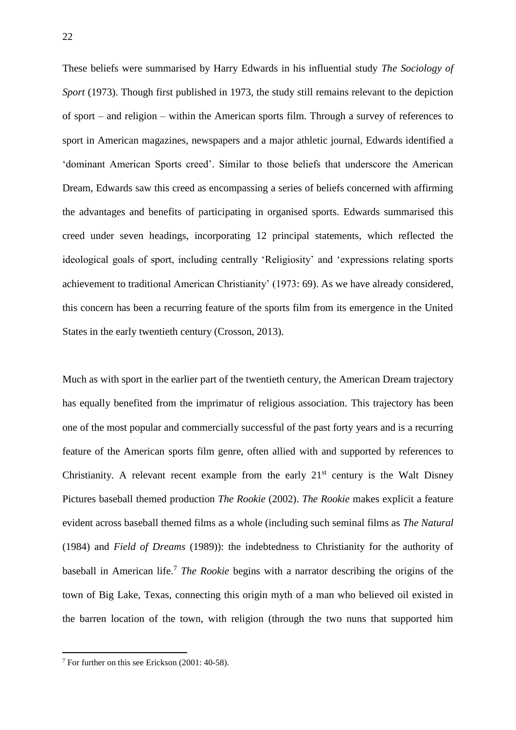These beliefs were summarised by Harry Edwards in his influential study *The Sociology of Sport* (1973). Though first published in 1973, the study still remains relevant to the depiction of sport – and religion – within the American sports film. Through a survey of references to sport in American magazines, newspapers and a major athletic journal, Edwards identified a 'dominant American Sports creed'. Similar to those beliefs that underscore the American Dream, Edwards saw this creed as encompassing a series of beliefs concerned with affirming the advantages and benefits of participating in organised sports. Edwards summarised this creed under seven headings, incorporating 12 principal statements, which reflected the ideological goals of sport, including centrally 'Religiosity' and 'expressions relating sports achievement to traditional American Christianity' (1973: 69). As we have already considered, this concern has been a recurring feature of the sports film from its emergence in the United States in the early twentieth century (Crosson, 2013).

Much as with sport in the earlier part of the twentieth century, the American Dream trajectory has equally benefited from the imprimatur of religious association. This trajectory has been one of the most popular and commercially successful of the past forty years and is a recurring feature of the American sports film genre, often allied with and supported by references to Christianity. A relevant recent example from the early  $21<sup>st</sup>$  century is the Walt Disney Pictures baseball themed production *The Rookie* (2002). *The Rookie* makes explicit a feature evident across baseball themed films as a whole (including such seminal films as *The Natural* (1984) and *Field of Dreams* (1989)): the indebtedness to Christianity for the authority of baseball in American life.<sup>7</sup> *The Rookie* begins with a narrator describing the origins of the town of Big Lake, Texas, connecting this origin myth of a man who believed oil existed in the barren location of the town, with religion (through the two nuns that supported him

-

<sup>7</sup> For further on this see Erickson (2001: 40-58).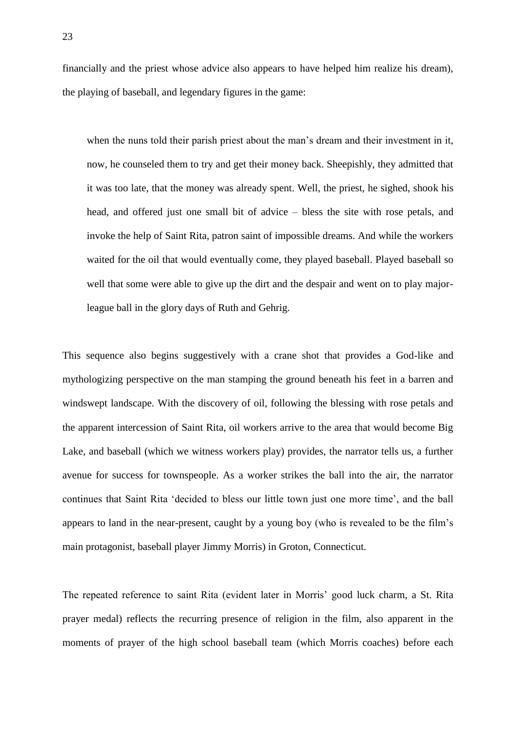financially and the priest whose advice also appears to have helped him realize his dream), the playing of baseball, and legendary figures in the game:

when the nuns told their parish priest about the man's dream and their investment in it, now, he counseled them to try and get their money back. Sheepishly, they admitted that it was too late, that the money was already spent. Well, the priest, he sighed, shook his head, and offered just one small bit of advice – bless the site with rose petals, and invoke the help of Saint Rita, patron saint of impossible dreams. And while the workers waited for the oil that would eventually come, they played baseball. Played baseball so well that some were able to give up the dirt and the despair and went on to play majorleague ball in the glory days of Ruth and Gehrig.

This sequence also begins suggestively with a crane shot that provides a God-like and mythologizing perspective on the man stamping the ground beneath his feet in a barren and windswept landscape. With the discovery of oil, following the blessing with rose petals and the apparent intercession of Saint Rita, oil workers arrive to the area that would become Big Lake, and baseball (which we witness workers play) provides, the narrator tells us, a further avenue for success for townspeople. As a worker strikes the ball into the air, the narrator continues that Saint Rita 'decided to bless our little town just one more time', and the ball appears to land in the near-present, caught by a young boy (who is revealed to be the film's main protagonist, baseball player Jimmy Morris) in Groton, Connecticut.

The repeated reference to saint Rita (evident later in Morris' good luck charm, a St. Rita prayer medal) reflects the recurring presence of religion in the film, also apparent in the moments of prayer of the high school baseball team (which Morris coaches) before each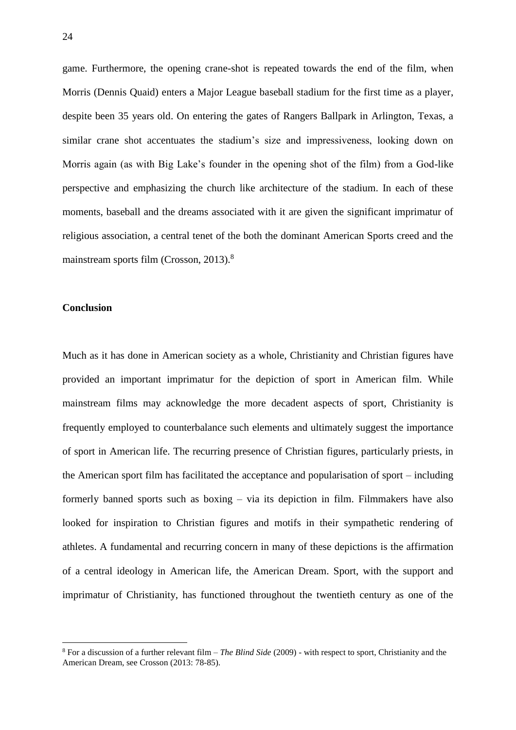game. Furthermore, the opening crane-shot is repeated towards the end of the film, when Morris (Dennis Quaid) enters a Major League baseball stadium for the first time as a player, despite been 35 years old. On entering the gates of Rangers Ballpark in Arlington, Texas, a similar crane shot accentuates the stadium's size and impressiveness, looking down on Morris again (as with Big Lake's founder in the opening shot of the film) from a God-like perspective and emphasizing the church like architecture of the stadium. In each of these moments, baseball and the dreams associated with it are given the significant imprimatur of religious association, a central tenet of the both the dominant American Sports creed and the mainstream sports film (Crosson, 2013). 8

### **Conclusion**

<u>.</u>

Much as it has done in American society as a whole, Christianity and Christian figures have provided an important imprimatur for the depiction of sport in American film. While mainstream films may acknowledge the more decadent aspects of sport, Christianity is frequently employed to counterbalance such elements and ultimately suggest the importance of sport in American life. The recurring presence of Christian figures, particularly priests, in the American sport film has facilitated the acceptance and popularisation of sport – including formerly banned sports such as boxing – via its depiction in film. Filmmakers have also looked for inspiration to Christian figures and motifs in their sympathetic rendering of athletes. A fundamental and recurring concern in many of these depictions is the affirmation of a central ideology in American life, the American Dream. Sport, with the support and imprimatur of Christianity, has functioned throughout the twentieth century as one of the

<sup>8</sup> For a discussion of a further relevant film – *The Blind Side* (2009) - with respect to sport, Christianity and the American Dream, see Crosson (2013: 78-85).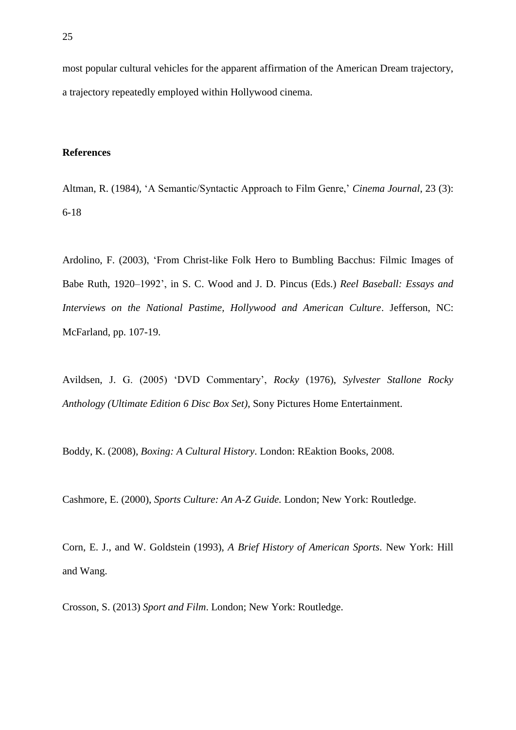most popular cultural vehicles for the apparent affirmation of the American Dream trajectory, a trajectory repeatedly employed within Hollywood cinema.

#### **References**

Altman, R. (1984), 'A Semantic/Syntactic Approach to Film Genre,' *Cinema Journal*, 23 (3): 6-18

Ardolino, F. (2003), 'From Christ-like Folk Hero to Bumbling Bacchus: Filmic Images of Babe Ruth, 1920–1992', in S. C. Wood and J. D. Pincus (Eds.) *Reel Baseball: Essays and Interviews on the National Pastime, Hollywood and American Culture*. Jefferson, NC: McFarland, pp. 107-19.

Avildsen, J. G. (2005) 'DVD Commentary', *Rocky* (1976), *Sylvester Stallone Rocky Anthology (Ultimate Edition 6 Disc Box Set)*, Sony Pictures Home Entertainment.

Boddy, K. (2008), *Boxing: A Cultural History*. London: REaktion Books, 2008.

Cashmore, E. (2000), *Sports Culture: An A-Z Guide.* London; New York: Routledge.

Corn, E. J., and W. Goldstein (1993), *A Brief History of American Sports.* New York: Hill and Wang.

Crosson, S. (2013) *Sport and Film*. London; New York: Routledge.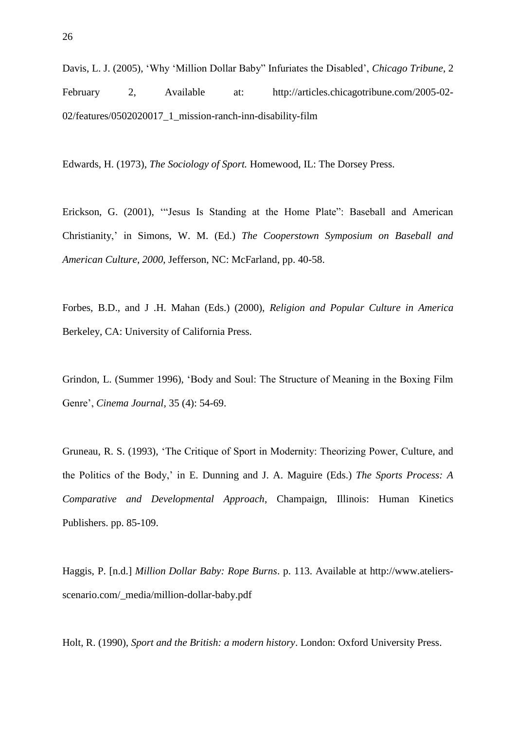Davis, L. J. (2005), 'Why 'Million Dollar Baby" Infuriates the Disabled', *Chicago Tribune*, 2 February 2, Available at: http://articles.chicagotribune.com/2005-02-02/features/0502020017\_1\_mission-ranch-inn-disability-film

Edwards, H. (1973), *The Sociology of Sport.* Homewood, IL: The Dorsey Press.

Erickson, G. (2001), '"Jesus Is Standing at the Home Plate": Baseball and American Christianity,' in Simons, W. M. (Ed.) *The Cooperstown Symposium on Baseball and American Culture, 2000*, Jefferson, NC: McFarland, pp. 40-58.

Forbes, B.D., and J .H. Mahan (Eds.) (2000), *Religion and Popular Culture in America* Berkeley, CA: University of California Press.

Grindon, L. (Summer 1996), 'Body and Soul: The Structure of Meaning in the Boxing Film Genre', *Cinema Journal*, 35 (4): 54-69.

Gruneau, R. S. (1993), 'The Critique of Sport in Modernity: Theorizing Power, Culture, and the Politics of the Body,' in E. Dunning and J. A. Maguire (Eds.) *The Sports Process: A Comparative and Developmental Approach*, Champaign, Illinois: Human Kinetics Publishers. pp. 85-109.

Haggis, P. [n.d.] *Million Dollar Baby: Rope Burns*. p. 113. Available at http://www.ateliersscenario.com/\_media/million-dollar-baby.pdf

Holt, R. (1990), *Sport and the British: a modern history*. London: Oxford University Press.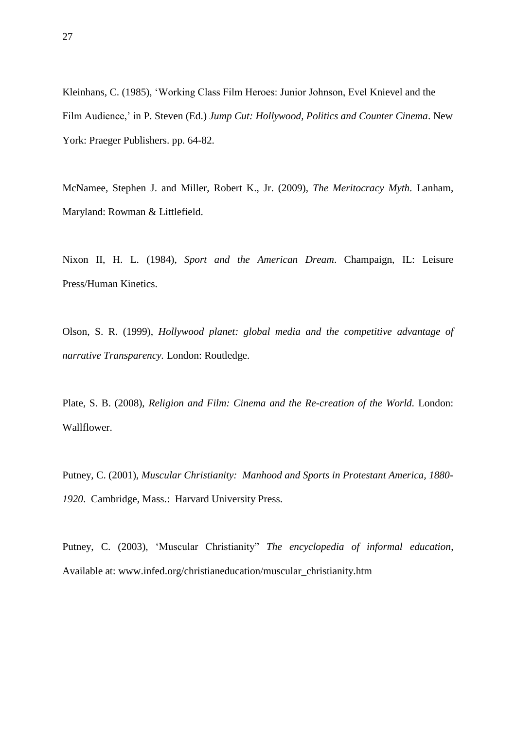Kleinhans, C. (1985), 'Working Class Film Heroes: Junior Johnson, Evel Knievel and the Film Audience,' in P. Steven (Ed.) *Jump Cut: Hollywood, Politics and Counter Cinema*. New York: Praeger Publishers. pp. 64-82.

McNamee, Stephen J. and Miller, Robert K., Jr. (2009), *The Meritocracy Myth.* Lanham, Maryland: Rowman & Littlefield.

Nixon II, H. L. (1984), *Sport and the American Dream*. Champaign, IL: Leisure Press/Human Kinetics.

Olson, S. R. (1999), *Hollywood planet: global media and the competitive advantage of narrative Transparency.* London: Routledge.

Plate, S. B. (2008), *Religion and Film: Cinema and the Re-creation of the World.* London: Wallflower.

Putney, C. (2001), *Muscular Christianity: Manhood and Sports in Protestant America, 1880- 1920*. Cambridge, Mass.: Harvard University Press.

Putney, C. (2003), 'Muscular Christianity" *The encyclopedia of informal education*, Available at: www.infed.org/christianeducation/muscular\_christianity.htm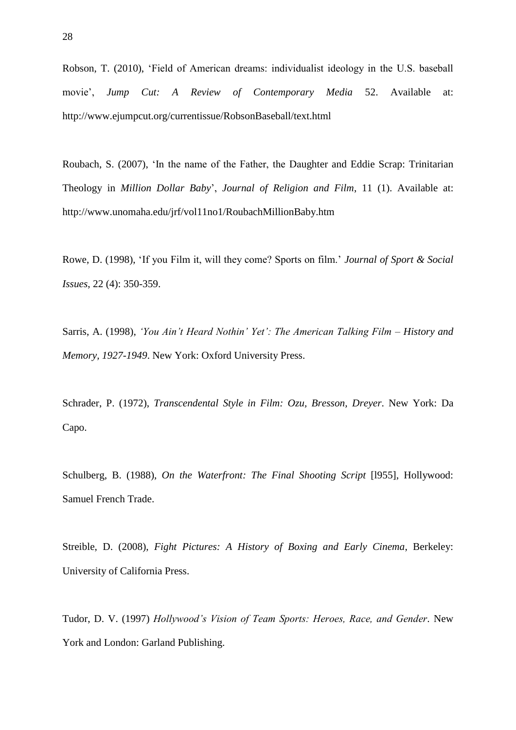Robson, T. (2010), 'Field of American dreams: individualist ideology in the U.S. baseball movie', *Jump Cut: A Review of Contemporary Media* 52. Available at: http://www.ejumpcut.org/currentissue/RobsonBaseball/text.html

Roubach, S. (2007), 'In the name of the Father, the Daughter and Eddie Scrap: Trinitarian Theology in *Million Dollar Baby*', *Journal of Religion and Film*, 11 (1). Available at: http://www.unomaha.edu/jrf/vol11no1/RoubachMillionBaby.htm

Rowe, D. (1998), 'If you Film it, will they come? Sports on film.' *Journal of Sport & Social Issues*, 22 (4): 350-359.

Sarris, A. (1998), *'You Ain't Heard Nothin' Yet': The American Talking Film – History and Memory, 1927-1949*. New York: Oxford University Press.

Schrader, P. (1972), *Transcendental Style in Film: Ozu, Bresson, Dreyer*. New York: Da Capo.

Schulberg, B. (1988), *On the Waterfront: The Final Shooting Script* [l955], Hollywood: Samuel French Trade.

Streible, D. (2008), *Fight Pictures: A History of Boxing and Early Cinema*, Berkeley: University of California Press.

Tudor, D. V. (1997) *Hollywood's Vision of Team Sports: Heroes, Race, and Gender.* New York and London: Garland Publishing.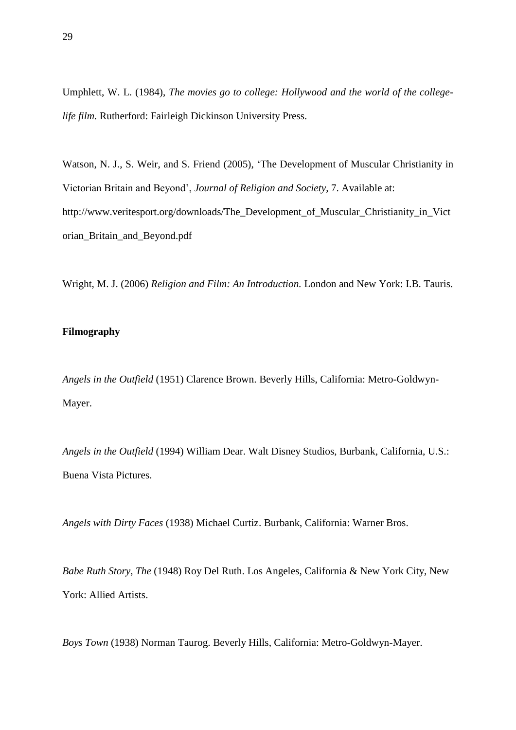Umphlett, W. L. (1984), *The movies go to college: Hollywood and the world of the collegelife film.* Rutherford: Fairleigh Dickinson University Press.

Watson, N. J., S. Weir, and S. Friend (2005), 'The Development of Muscular Christianity in Victorian Britain and Beyond', *Journal of Religion and Society*, 7. Available at: http://www.veritesport.org/downloads/The\_Development\_of\_Muscular\_Christianity\_in\_Vict orian\_Britain\_and\_Beyond.pdf

Wright, M. J. (2006) *Religion and Film: An Introduction.* London and New York: I.B. Tauris.

## **Filmography**

*Angels in the Outfield* (1951) Clarence Brown. Beverly Hills, California: Metro-Goldwyn-Mayer.

*Angels in the Outfield* (1994) William Dear. Walt Disney Studios, Burbank, California, U.S.: Buena Vista Pictures.

*Angels with Dirty Faces* (1938) Michael Curtiz. Burbank, California: Warner Bros.

*Babe Ruth Story, The* (1948) Roy Del Ruth. Los Angeles, California & New York City, New York: Allied Artists.

*Boys Town* (1938) Norman Taurog. Beverly Hills, California: Metro-Goldwyn-Mayer.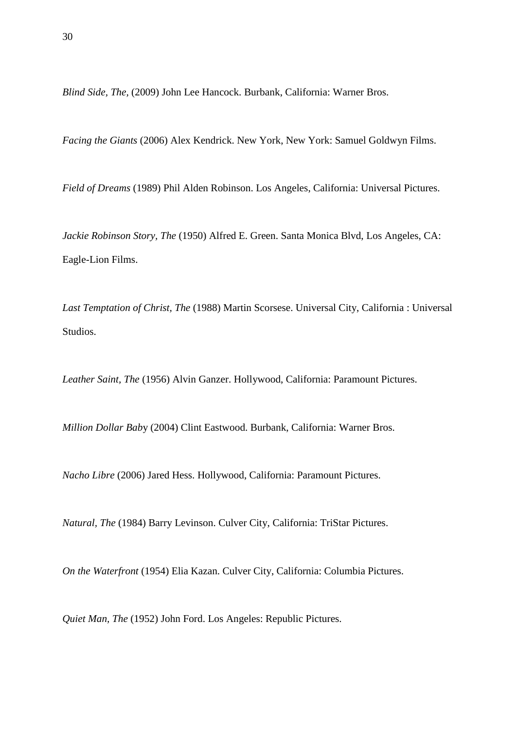*Blind Side, The,* (2009) John Lee Hancock. Burbank, California: Warner Bros.

*Facing the Giants* (2006) Alex Kendrick. New York, New York: Samuel Goldwyn Films.

*Field of Dreams* (1989) Phil Alden Robinson. Los Angeles, California: Universal Pictures.

*Jackie Robinson Story, The* (1950) Alfred E. Green. Santa Monica Blvd, Los Angeles, CA: Eagle-Lion Films.

*Last Temptation of Christ, The* (1988) Martin Scorsese. Universal City, California : Universal Studios.

*Leather Saint, The* (1956) Alvin Ganzer. Hollywood, California: Paramount Pictures.

*Million Dollar Bab*y (2004) Clint Eastwood. Burbank, California: Warner Bros.

*Nacho Libre* (2006) Jared Hess. Hollywood, California: Paramount Pictures.

*Natural, The* (1984) Barry Levinson. Culver City, California: TriStar Pictures.

*On the Waterfront* (1954) Elia Kazan. Culver City, California: Columbia Pictures.

*Quiet Man, The* (1952) John Ford. Los Angeles: Republic Pictures.